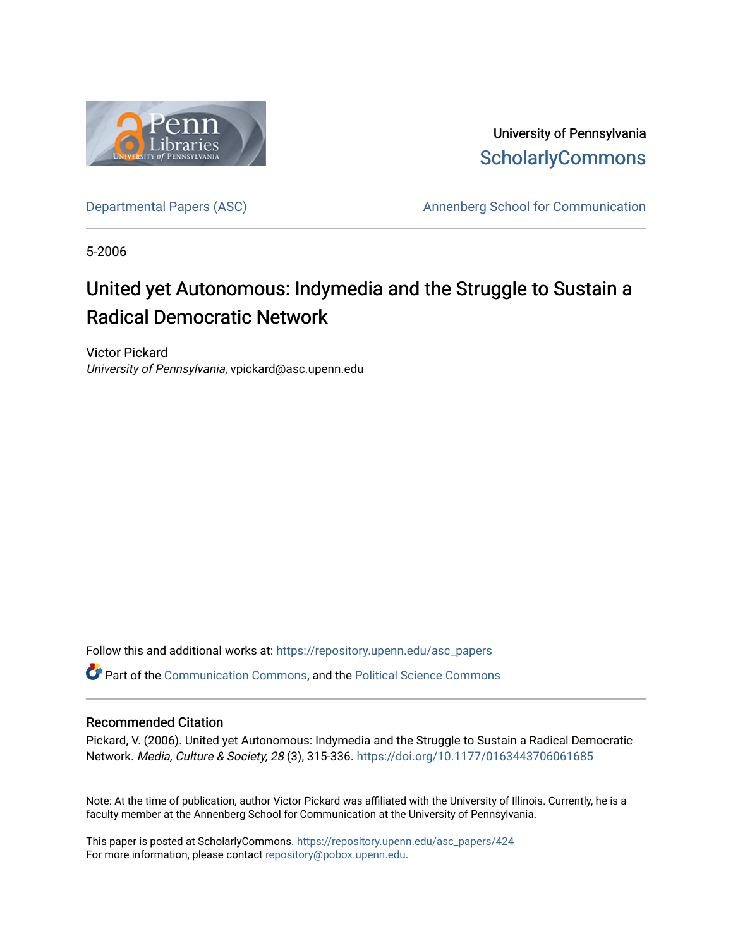

University of Pennsylvania **ScholarlyCommons** 

[Departmental Papers \(ASC\)](https://repository.upenn.edu/asc_papers) and a new Annenberg School for Communication

5-2006

# United yet Autonomous: Indymedia and the Struggle to Sustain a Radical Democratic Network

Victor Pickard University of Pennsylvania, vpickard@asc.upenn.edu

Follow this and additional works at: [https://repository.upenn.edu/asc\\_papers](https://repository.upenn.edu/asc_papers?utm_source=repository.upenn.edu%2Fasc_papers%2F424&utm_medium=PDF&utm_campaign=PDFCoverPages)

Part of the [Communication Commons,](http://network.bepress.com/hgg/discipline/325?utm_source=repository.upenn.edu%2Fasc_papers%2F424&utm_medium=PDF&utm_campaign=PDFCoverPages) and the [Political Science Commons](http://network.bepress.com/hgg/discipline/386?utm_source=repository.upenn.edu%2Fasc_papers%2F424&utm_medium=PDF&utm_campaign=PDFCoverPages)

#### Recommended Citation

Pickard, V. (2006). United yet Autonomous: Indymedia and the Struggle to Sustain a Radical Democratic Network. Media, Culture & Society, 28 (3), 315-336.<https://doi.org/10.1177/0163443706061685>

Note: At the time of publication, author Victor Pickard was affiliated with the University of Illinois. Currently, he is a faculty member at the Annenberg School for Communication at the University of Pennsylvania.

This paper is posted at ScholarlyCommons. [https://repository.upenn.edu/asc\\_papers/424](https://repository.upenn.edu/asc_papers/424)  For more information, please contact [repository@pobox.upenn.edu.](mailto:repository@pobox.upenn.edu)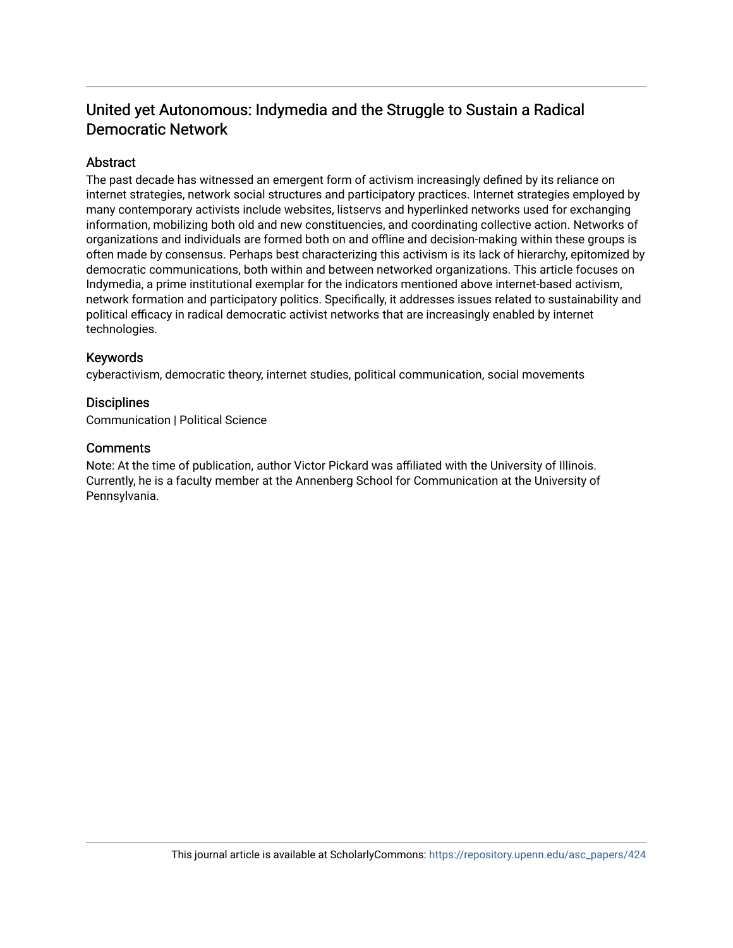## United yet Autonomous: Indymedia and the Struggle to Sustain a Radical Democratic Network

## Abstract

The past decade has witnessed an emergent form of activism increasingly defined by its reliance on internet strategies, network social structures and participatory practices. Internet strategies employed by many contemporary activists include websites, listservs and hyperlinked networks used for exchanging information, mobilizing both old and new constituencies, and coordinating collective action. Networks of organizations and individuals are formed both on and offline and decision-making within these groups is often made by consensus. Perhaps best characterizing this activism is its lack of hierarchy, epitomized by democratic communications, both within and between networked organizations. This article focuses on Indymedia, a prime institutional exemplar for the indicators mentioned above internet-based activism, network formation and participatory politics. Specifically, it addresses issues related to sustainability and political efficacy in radical democratic activist networks that are increasingly enabled by internet technologies.

## Keywords

cyberactivism, democratic theory, internet studies, political communication, social movements

## **Disciplines**

Communication | Political Science

## **Comments**

Note: At the time of publication, author Victor Pickard was affiliated with the University of Illinois. Currently, he is a faculty member at the Annenberg School for Communication at the University of Pennsylvania.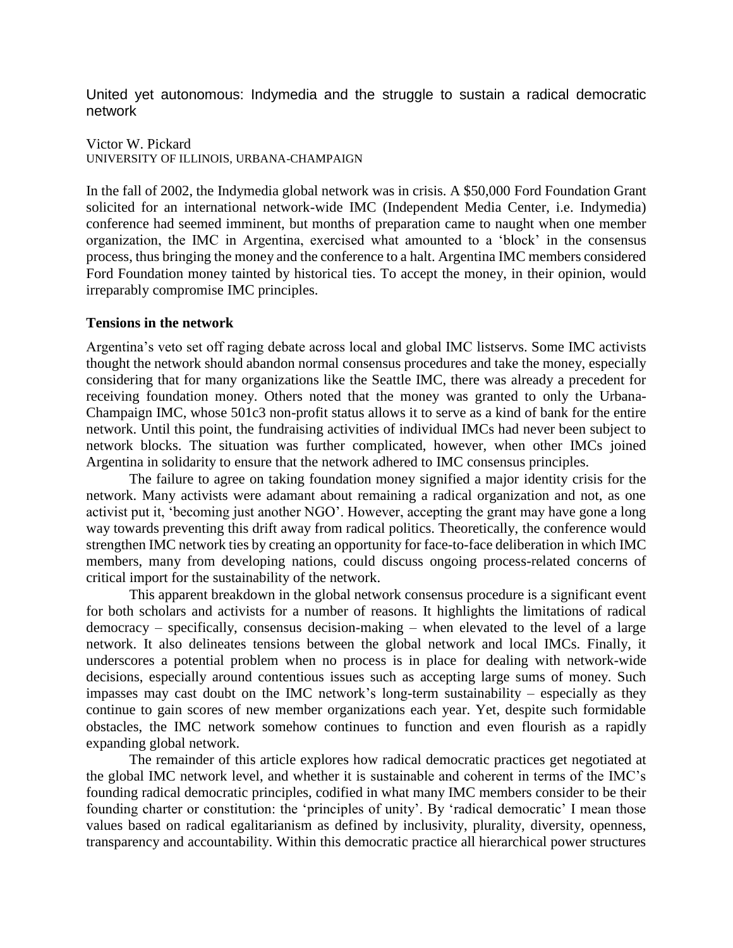United yet autonomous: Indymedia and the struggle to sustain a radical democratic network

Victor W. Pickard UNIVERSITY OF ILLINOIS, URBANA-CHAMPAIGN

In the fall of 2002, the Indymedia global network was in crisis. A \$50,000 Ford Foundation Grant solicited for an international network-wide IMC (Independent Media Center, i.e. Indymedia) conference had seemed imminent, but months of preparation came to naught when one member organization, the IMC in Argentina, exercised what amounted to a 'block' in the consensus process, thus bringing the money and the conference to a halt. Argentina IMC members considered Ford Foundation money tainted by historical ties. To accept the money, in their opinion, would irreparably compromise IMC principles.

#### **Tensions in the network**

Argentina's veto set off raging debate across local and global IMC listservs. Some IMC activists thought the network should abandon normal consensus procedures and take the money, especially considering that for many organizations like the Seattle IMC, there was already a precedent for receiving foundation money. Others noted that the money was granted to only the Urbana-Champaign IMC, whose 501c3 non-profit status allows it to serve as a kind of bank for the entire network. Until this point, the fundraising activities of individual IMCs had never been subject to network blocks. The situation was further complicated, however, when other IMCs joined Argentina in solidarity to ensure that the network adhered to IMC consensus principles.

The failure to agree on taking foundation money signified a major identity crisis for the network. Many activists were adamant about remaining a radical organization and not, as one activist put it, 'becoming just another NGO'. However, accepting the grant may have gone a long way towards preventing this drift away from radical politics. Theoretically, the conference would strengthen IMC network ties by creating an opportunity for face-to-face deliberation in which IMC members, many from developing nations, could discuss ongoing process-related concerns of critical import for the sustainability of the network.

This apparent breakdown in the global network consensus procedure is a significant event for both scholars and activists for a number of reasons. It highlights the limitations of radical democracy – specifically, consensus decision-making – when elevated to the level of a large network. It also delineates tensions between the global network and local IMCs. Finally, it underscores a potential problem when no process is in place for dealing with network-wide decisions, especially around contentious issues such as accepting large sums of money. Such impasses may cast doubt on the IMC network's long-term sustainability – especially as they continue to gain scores of new member organizations each year. Yet, despite such formidable obstacles, the IMC network somehow continues to function and even flourish as a rapidly expanding global network.

The remainder of this article explores how radical democratic practices get negotiated at the global IMC network level, and whether it is sustainable and coherent in terms of the IMC's founding radical democratic principles, codified in what many IMC members consider to be their founding charter or constitution: the 'principles of unity'. By 'radical democratic' I mean those values based on radical egalitarianism as defined by inclusivity, plurality, diversity, openness, transparency and accountability. Within this democratic practice all hierarchical power structures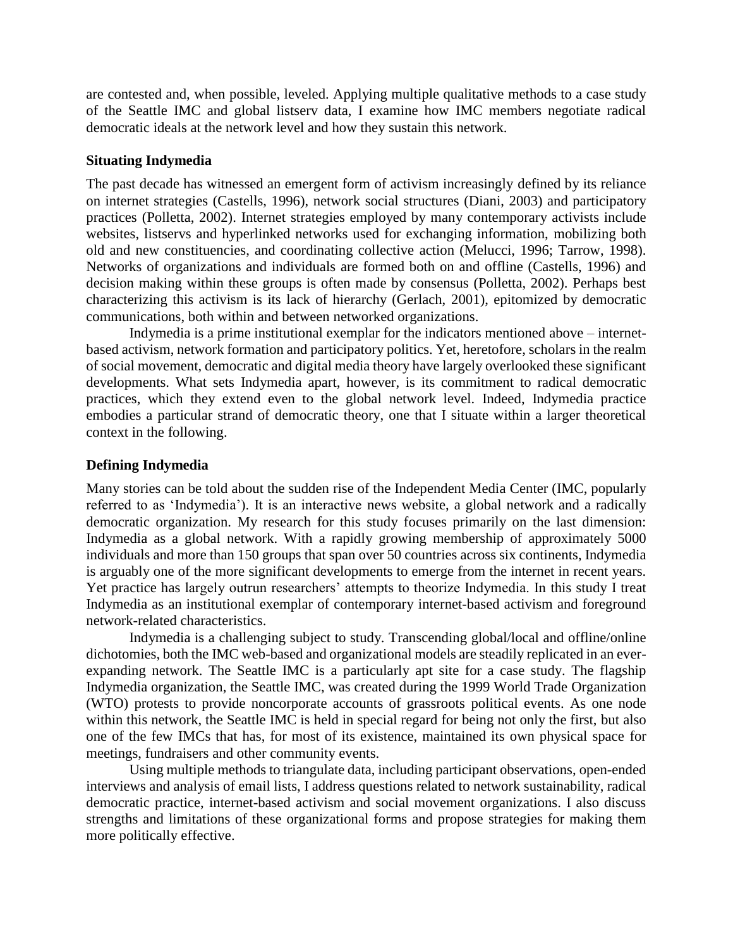are contested and, when possible, leveled. Applying multiple qualitative methods to a case study of the Seattle IMC and global listserv data, I examine how IMC members negotiate radical democratic ideals at the network level and how they sustain this network.

## **Situating Indymedia**

The past decade has witnessed an emergent form of activism increasingly defined by its reliance on internet strategies (Castells, 1996), network social structures (Diani, 2003) and participatory practices (Polletta, 2002). Internet strategies employed by many contemporary activists include websites, listservs and hyperlinked networks used for exchanging information, mobilizing both old and new constituencies, and coordinating collective action (Melucci, 1996; Tarrow, 1998). Networks of organizations and individuals are formed both on and offline (Castells, 1996) and decision making within these groups is often made by consensus (Polletta, 2002). Perhaps best characterizing this activism is its lack of hierarchy (Gerlach, 2001), epitomized by democratic communications, both within and between networked organizations.

Indymedia is a prime institutional exemplar for the indicators mentioned above – internetbased activism, network formation and participatory politics. Yet, heretofore, scholars in the realm of social movement, democratic and digital media theory have largely overlooked these significant developments. What sets Indymedia apart, however, is its commitment to radical democratic practices, which they extend even to the global network level. Indeed, Indymedia practice embodies a particular strand of democratic theory, one that I situate within a larger theoretical context in the following.

## **Defining Indymedia**

Many stories can be told about the sudden rise of the Independent Media Center (IMC, popularly referred to as 'Indymedia'). It is an interactive news website, a global network and a radically democratic organization. My research for this study focuses primarily on the last dimension: Indymedia as a global network. With a rapidly growing membership of approximately 5000 individuals and more than 150 groups that span over 50 countries across six continents, Indymedia is arguably one of the more significant developments to emerge from the internet in recent years. Yet practice has largely outrun researchers' attempts to theorize Indymedia. In this study I treat Indymedia as an institutional exemplar of contemporary internet-based activism and foreground network-related characteristics.

Indymedia is a challenging subject to study. Transcending global/local and offline/online dichotomies, both the IMC web-based and organizational models are steadily replicated in an everexpanding network. The Seattle IMC is a particularly apt site for a case study. The flagship Indymedia organization, the Seattle IMC, was created during the 1999 World Trade Organization (WTO) protests to provide noncorporate accounts of grassroots political events. As one node within this network, the Seattle IMC is held in special regard for being not only the first, but also one of the few IMCs that has, for most of its existence, maintained its own physical space for meetings, fundraisers and other community events.

Using multiple methods to triangulate data, including participant observations, open-ended interviews and analysis of email lists, I address questions related to network sustainability, radical democratic practice, internet-based activism and social movement organizations. I also discuss strengths and limitations of these organizational forms and propose strategies for making them more politically effective.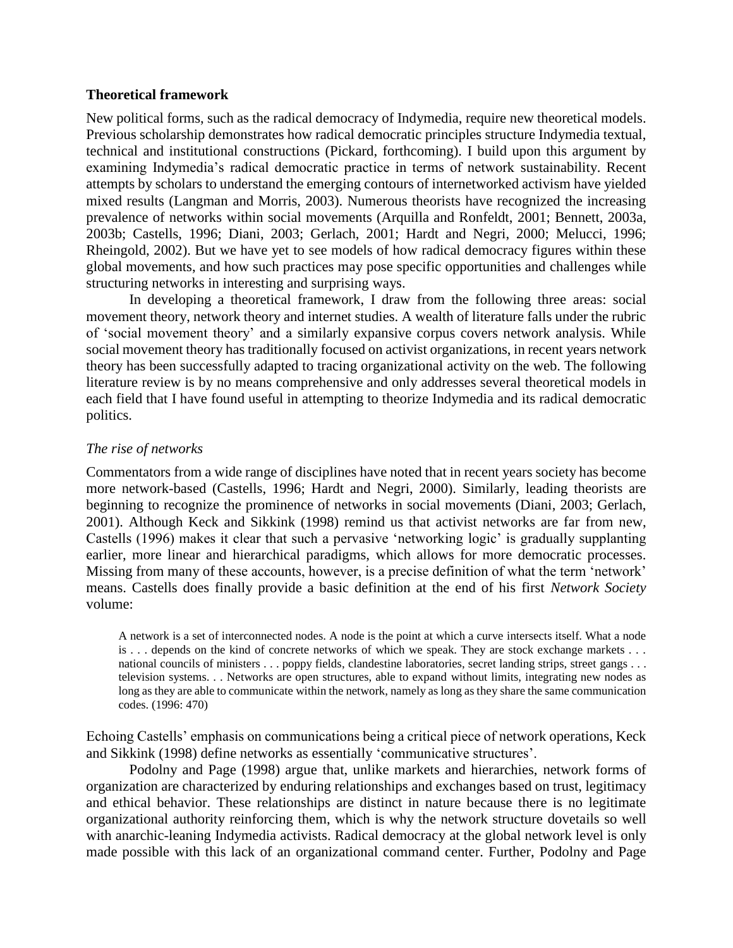#### **Theoretical framework**

New political forms, such as the radical democracy of Indymedia, require new theoretical models. Previous scholarship demonstrates how radical democratic principles structure Indymedia textual, technical and institutional constructions (Pickard, forthcoming). I build upon this argument by examining Indymedia's radical democratic practice in terms of network sustainability. Recent attempts by scholars to understand the emerging contours of internetworked activism have yielded mixed results (Langman and Morris, 2003). Numerous theorists have recognized the increasing prevalence of networks within social movements (Arquilla and Ronfeldt, 2001; Bennett, 2003a, 2003b; Castells, 1996; Diani, 2003; Gerlach, 2001; Hardt and Negri, 2000; Melucci, 1996; Rheingold, 2002). But we have yet to see models of how radical democracy figures within these global movements, and how such practices may pose specific opportunities and challenges while structuring networks in interesting and surprising ways.

In developing a theoretical framework, I draw from the following three areas: social movement theory, network theory and internet studies. A wealth of literature falls under the rubric of 'social movement theory' and a similarly expansive corpus covers network analysis. While social movement theory has traditionally focused on activist organizations, in recent years network theory has been successfully adapted to tracing organizational activity on the web. The following literature review is by no means comprehensive and only addresses several theoretical models in each field that I have found useful in attempting to theorize Indymedia and its radical democratic politics.

#### *The rise of networks*

Commentators from a wide range of disciplines have noted that in recent years society has become more network-based (Castells, 1996; Hardt and Negri, 2000). Similarly, leading theorists are beginning to recognize the prominence of networks in social movements (Diani, 2003; Gerlach, 2001). Although Keck and Sikkink (1998) remind us that activist networks are far from new, Castells (1996) makes it clear that such a pervasive 'networking logic' is gradually supplanting earlier, more linear and hierarchical paradigms, which allows for more democratic processes. Missing from many of these accounts, however, is a precise definition of what the term 'network' means. Castells does finally provide a basic definition at the end of his first *Network Society*  volume:

A network is a set of interconnected nodes. A node is the point at which a curve intersects itself. What a node is . . . depends on the kind of concrete networks of which we speak. They are stock exchange markets . . . national councils of ministers . . . poppy fields, clandestine laboratories, secret landing strips, street gangs . . . television systems. . . Networks are open structures, able to expand without limits, integrating new nodes as long as they are able to communicate within the network, namely as long as they share the same communication codes. (1996: 470)

Echoing Castells' emphasis on communications being a critical piece of network operations, Keck and Sikkink (1998) define networks as essentially 'communicative structures'.

Podolny and Page (1998) argue that, unlike markets and hierarchies, network forms of organization are characterized by enduring relationships and exchanges based on trust, legitimacy and ethical behavior. These relationships are distinct in nature because there is no legitimate organizational authority reinforcing them, which is why the network structure dovetails so well with anarchic-leaning Indymedia activists. Radical democracy at the global network level is only made possible with this lack of an organizational command center. Further, Podolny and Page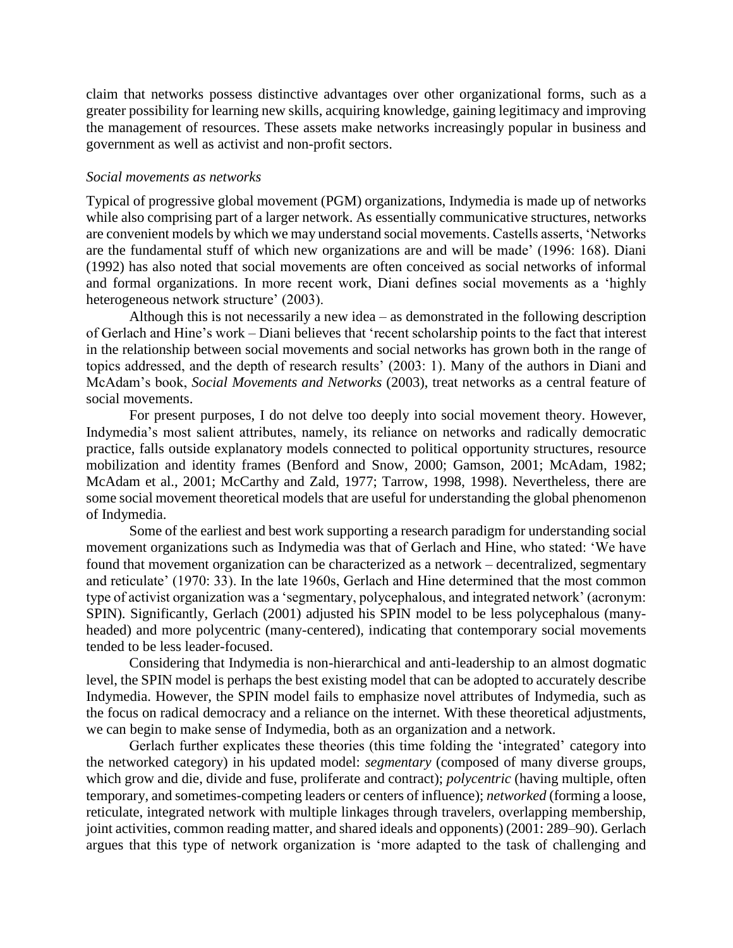claim that networks possess distinctive advantages over other organizational forms, such as a greater possibility for learning new skills, acquiring knowledge, gaining legitimacy and improving the management of resources. These assets make networks increasingly popular in business and government as well as activist and non-profit sectors.

#### *Social movements as networks*

Typical of progressive global movement (PGM) organizations, Indymedia is made up of networks while also comprising part of a larger network. As essentially communicative structures, networks are convenient models by which we may understand social movements. Castells asserts, 'Networks are the fundamental stuff of which new organizations are and will be made' (1996: 168). Diani (1992) has also noted that social movements are often conceived as social networks of informal and formal organizations. In more recent work, Diani defines social movements as a 'highly heterogeneous network structure' (2003).

Although this is not necessarily a new idea – as demonstrated in the following description of Gerlach and Hine's work – Diani believes that 'recent scholarship points to the fact that interest in the relationship between social movements and social networks has grown both in the range of topics addressed, and the depth of research results' (2003: 1). Many of the authors in Diani and McAdam's book, *Social Movements and Networks* (2003), treat networks as a central feature of social movements.

For present purposes, I do not delve too deeply into social movement theory. However, Indymedia's most salient attributes, namely, its reliance on networks and radically democratic practice, falls outside explanatory models connected to political opportunity structures, resource mobilization and identity frames (Benford and Snow, 2000; Gamson, 2001; McAdam, 1982; McAdam et al., 2001; McCarthy and Zald, 1977; Tarrow, 1998, 1998). Nevertheless, there are some social movement theoretical models that are useful for understanding the global phenomenon of Indymedia.

Some of the earliest and best work supporting a research paradigm for understanding social movement organizations such as Indymedia was that of Gerlach and Hine, who stated: 'We have found that movement organization can be characterized as a network – decentralized, segmentary and reticulate' (1970: 33). In the late 1960s, Gerlach and Hine determined that the most common type of activist organization was a 'segmentary, polycephalous, and integrated network' (acronym: SPIN). Significantly, Gerlach (2001) adjusted his SPIN model to be less polycephalous (manyheaded) and more polycentric (many-centered), indicating that contemporary social movements tended to be less leader-focused.

Considering that Indymedia is non-hierarchical and anti-leadership to an almost dogmatic level, the SPIN model is perhaps the best existing model that can be adopted to accurately describe Indymedia. However, the SPIN model fails to emphasize novel attributes of Indymedia, such as the focus on radical democracy and a reliance on the internet. With these theoretical adjustments, we can begin to make sense of Indymedia, both as an organization and a network.

Gerlach further explicates these theories (this time folding the 'integrated' category into the networked category) in his updated model: *segmentary* (composed of many diverse groups, which grow and die, divide and fuse, proliferate and contract); *polycentric* (having multiple, often temporary, and sometimes-competing leaders or centers of influence); *networked* (forming a loose, reticulate, integrated network with multiple linkages through travelers, overlapping membership, joint activities, common reading matter, and shared ideals and opponents) (2001: 289–90). Gerlach argues that this type of network organization is 'more adapted to the task of challenging and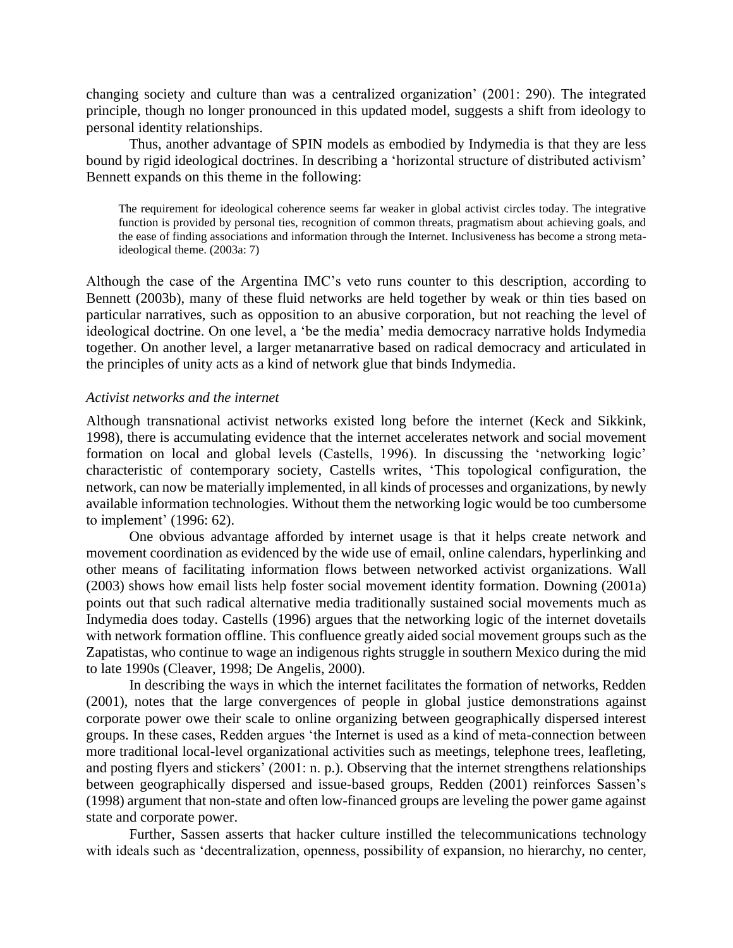changing society and culture than was a centralized organization' (2001: 290). The integrated principle, though no longer pronounced in this updated model, suggests a shift from ideology to personal identity relationships.

Thus, another advantage of SPIN models as embodied by Indymedia is that they are less bound by rigid ideological doctrines. In describing a 'horizontal structure of distributed activism' Bennett expands on this theme in the following:

The requirement for ideological coherence seems far weaker in global activist circles today. The integrative function is provided by personal ties, recognition of common threats, pragmatism about achieving goals, and the ease of finding associations and information through the Internet. Inclusiveness has become a strong metaideological theme. (2003a: 7)

Although the case of the Argentina IMC's veto runs counter to this description, according to Bennett (2003b), many of these fluid networks are held together by weak or thin ties based on particular narratives, such as opposition to an abusive corporation, but not reaching the level of ideological doctrine. On one level, a 'be the media' media democracy narrative holds Indymedia together. On another level, a larger metanarrative based on radical democracy and articulated in the principles of unity acts as a kind of network glue that binds Indymedia.

#### *Activist networks and the internet*

Although transnational activist networks existed long before the internet (Keck and Sikkink, 1998), there is accumulating evidence that the internet accelerates network and social movement formation on local and global levels (Castells, 1996). In discussing the 'networking logic' characteristic of contemporary society, Castells writes, 'This topological configuration, the network, can now be materially implemented, in all kinds of processes and organizations, by newly available information technologies. Without them the networking logic would be too cumbersome to implement' (1996: 62).

One obvious advantage afforded by internet usage is that it helps create network and movement coordination as evidenced by the wide use of email, online calendars, hyperlinking and other means of facilitating information flows between networked activist organizations. Wall (2003) shows how email lists help foster social movement identity formation. Downing (2001a) points out that such radical alternative media traditionally sustained social movements much as Indymedia does today. Castells (1996) argues that the networking logic of the internet dovetails with network formation offline. This confluence greatly aided social movement groups such as the Zapatistas, who continue to wage an indigenous rights struggle in southern Mexico during the mid to late 1990s (Cleaver, 1998; De Angelis, 2000).

In describing the ways in which the internet facilitates the formation of networks, Redden (2001), notes that the large convergences of people in global justice demonstrations against corporate power owe their scale to online organizing between geographically dispersed interest groups. In these cases, Redden argues 'the Internet is used as a kind of meta-connection between more traditional local-level organizational activities such as meetings, telephone trees, leafleting, and posting flyers and stickers' (2001: n. p.). Observing that the internet strengthens relationships between geographically dispersed and issue-based groups, Redden (2001) reinforces Sassen's (1998) argument that non-state and often low-financed groups are leveling the power game against state and corporate power.

Further, Sassen asserts that hacker culture instilled the telecommunications technology with ideals such as 'decentralization, openness, possibility of expansion, no hierarchy, no center,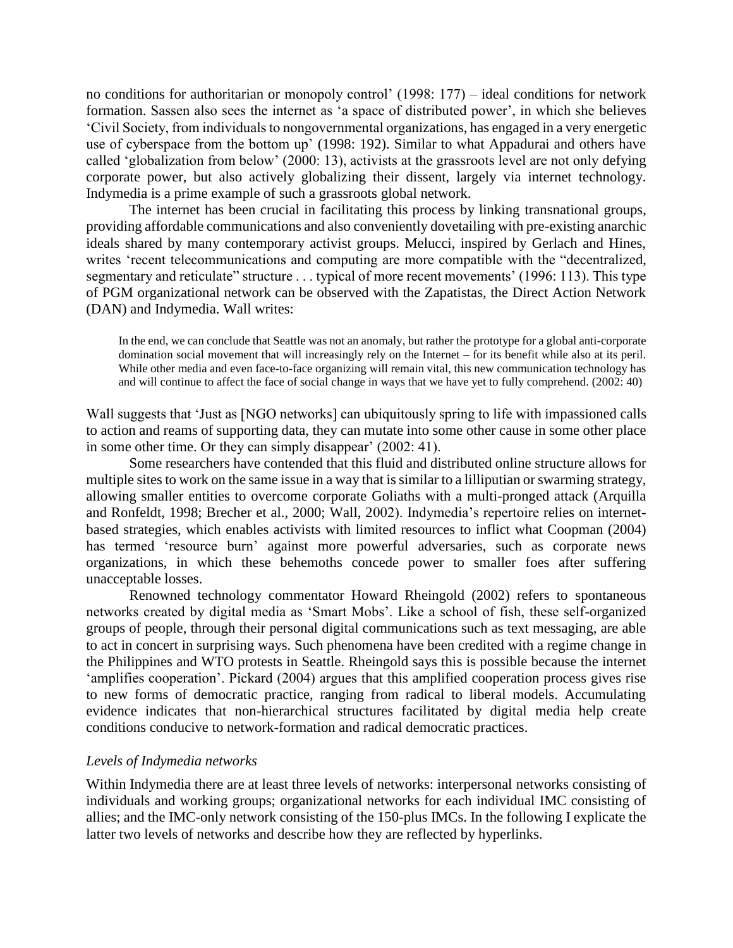no conditions for authoritarian or monopoly control' (1998: 177) – ideal conditions for network formation. Sassen also sees the internet as 'a space of distributed power', in which she believes 'Civil Society, from individuals to nongovernmental organizations, has engaged in a very energetic use of cyberspace from the bottom up' (1998: 192). Similar to what Appadurai and others have called 'globalization from below' (2000: 13), activists at the grassroots level are not only defying corporate power, but also actively globalizing their dissent, largely via internet technology. Indymedia is a prime example of such a grassroots global network.

The internet has been crucial in facilitating this process by linking transnational groups, providing affordable communications and also conveniently dovetailing with pre-existing anarchic ideals shared by many contemporary activist groups. Melucci, inspired by Gerlach and Hines, writes 'recent telecommunications and computing are more compatible with the "decentralized, segmentary and reticulate" structure . . . typical of more recent movements' (1996: 113). This type of PGM organizational network can be observed with the Zapatistas, the Direct Action Network (DAN) and Indymedia. Wall writes:

In the end, we can conclude that Seattle was not an anomaly, but rather the prototype for a global anti-corporate domination social movement that will increasingly rely on the Internet – for its benefit while also at its peril. While other media and even face-to-face organizing will remain vital, this new communication technology has and will continue to affect the face of social change in ways that we have yet to fully comprehend. (2002: 40)

Wall suggests that 'Just as [NGO networks] can ubiquitously spring to life with impassioned calls to action and reams of supporting data, they can mutate into some other cause in some other place in some other time. Or they can simply disappear' (2002: 41).

Some researchers have contended that this fluid and distributed online structure allows for multiple sites to work on the same issue in a way that is similar to a lilliputian or swarming strategy, allowing smaller entities to overcome corporate Goliaths with a multi-pronged attack (Arquilla and Ronfeldt, 1998; Brecher et al., 2000; Wall, 2002). Indymedia's repertoire relies on internetbased strategies, which enables activists with limited resources to inflict what Coopman (2004) has termed 'resource burn' against more powerful adversaries, such as corporate news organizations, in which these behemoths concede power to smaller foes after suffering unacceptable losses.

Renowned technology commentator Howard Rheingold (2002) refers to spontaneous networks created by digital media as 'Smart Mobs'. Like a school of fish, these self-organized groups of people, through their personal digital communications such as text messaging, are able to act in concert in surprising ways. Such phenomena have been credited with a regime change in the Philippines and WTO protests in Seattle. Rheingold says this is possible because the internet 'amplifies cooperation'. Pickard (2004) argues that this amplified cooperation process gives rise to new forms of democratic practice, ranging from radical to liberal models. Accumulating evidence indicates that non-hierarchical structures facilitated by digital media help create conditions conducive to network-formation and radical democratic practices.

#### *Levels of Indymedia networks*

Within Indymedia there are at least three levels of networks: interpersonal networks consisting of individuals and working groups; organizational networks for each individual IMC consisting of allies; and the IMC-only network consisting of the 150-plus IMCs. In the following I explicate the latter two levels of networks and describe how they are reflected by hyperlinks.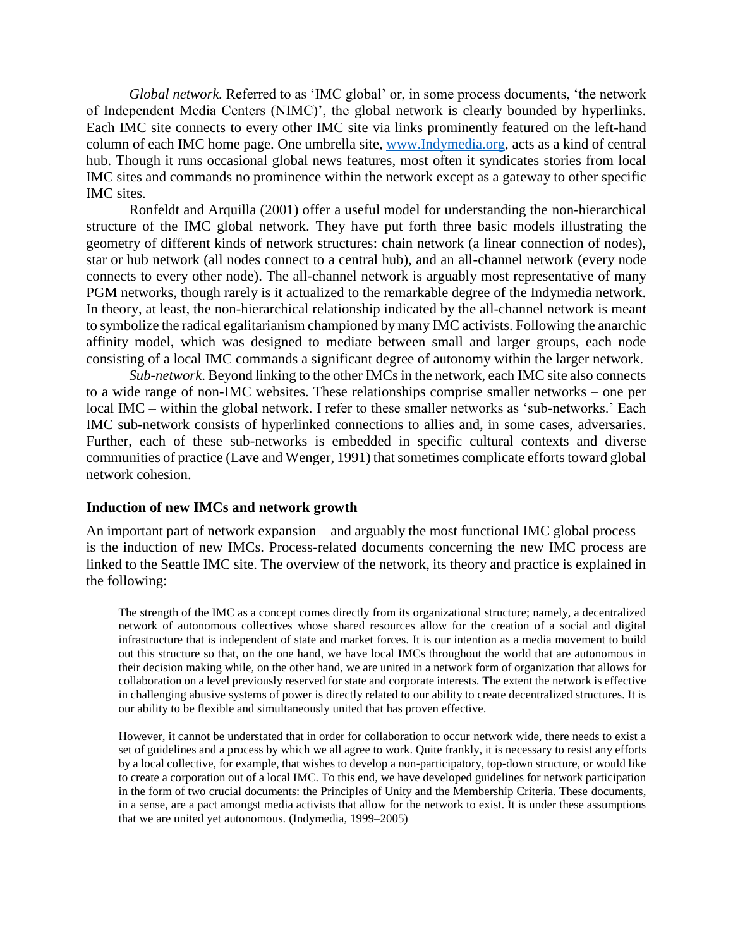*Global network.* Referred to as 'IMC global' or, in some process documents, 'the network of Independent Media Centers (NIMC)', the global network is clearly bounded by hyperlinks. Each IMC site connects to every other IMC site via links prominently featured on the left-hand column of each IMC home page. One umbrella site, [www.Indymedia.org,](http://www.indymedia.org/) acts as a kind of central hub. Though it runs occasional global news features, most often it syndicates stories from local IMC sites and commands no prominence within the network except as a gateway to other specific IMC sites.

Ronfeldt and Arquilla (2001) offer a useful model for understanding the non-hierarchical structure of the IMC global network. They have put forth three basic models illustrating the geometry of different kinds of network structures: chain network (a linear connection of nodes), star or hub network (all nodes connect to a central hub), and an all-channel network (every node connects to every other node). The all-channel network is arguably most representative of many PGM networks, though rarely is it actualized to the remarkable degree of the Indymedia network. In theory, at least, the non-hierarchical relationship indicated by the all-channel network is meant to symbolize the radical egalitarianism championed by many IMC activists. Following the anarchic affinity model, which was designed to mediate between small and larger groups, each node consisting of a local IMC commands a significant degree of autonomy within the larger network.

*Sub-network*. Beyond linking to the other IMCs in the network, each IMC site also connects to a wide range of non-IMC websites. These relationships comprise smaller networks – one per local IMC – within the global network. I refer to these smaller networks as 'sub-networks.' Each IMC sub-network consists of hyperlinked connections to allies and, in some cases, adversaries. Further, each of these sub-networks is embedded in specific cultural contexts and diverse communities of practice (Lave and Wenger, 1991) that sometimes complicate efforts toward global network cohesion.

#### **Induction of new IMCs and network growth**

An important part of network expansion – and arguably the most functional IMC global process – is the induction of new IMCs. Process-related documents concerning the new IMC process are linked to the Seattle IMC site. The overview of the network, its theory and practice is explained in the following:

The strength of the IMC as a concept comes directly from its organizational structure; namely, a decentralized network of autonomous collectives whose shared resources allow for the creation of a social and digital infrastructure that is independent of state and market forces. It is our intention as a media movement to build out this structure so that, on the one hand, we have local IMCs throughout the world that are autonomous in their decision making while, on the other hand, we are united in a network form of organization that allows for collaboration on a level previously reserved for state and corporate interests. The extent the network is effective in challenging abusive systems of power is directly related to our ability to create decentralized structures. It is our ability to be flexible and simultaneously united that has proven effective.

However, it cannot be understated that in order for collaboration to occur network wide, there needs to exist a set of guidelines and a process by which we all agree to work. Quite frankly, it is necessary to resist any efforts by a local collective, for example, that wishes to develop a non-participatory, top-down structure, or would like to create a corporation out of a local IMC. To this end, we have developed guidelines for network participation in the form of two crucial documents: the Principles of Unity and the Membership Criteria. These documents, in a sense, are a pact amongst media activists that allow for the network to exist. It is under these assumptions that we are united yet autonomous. (Indymedia, 1999–2005)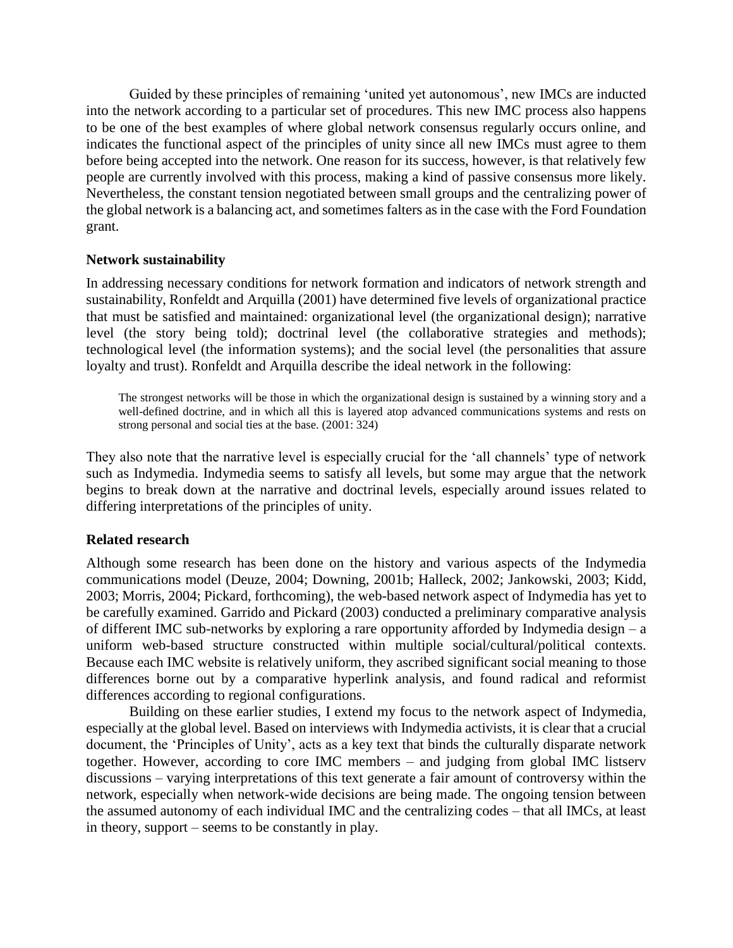Guided by these principles of remaining 'united yet autonomous', new IMCs are inducted into the network according to a particular set of procedures. This new IMC process also happens to be one of the best examples of where global network consensus regularly occurs online, and indicates the functional aspect of the principles of unity since all new IMCs must agree to them before being accepted into the network. One reason for its success, however, is that relatively few people are currently involved with this process, making a kind of passive consensus more likely. Nevertheless, the constant tension negotiated between small groups and the centralizing power of the global network is a balancing act, and sometimes falters as in the case with the Ford Foundation grant.

## **Network sustainability**

In addressing necessary conditions for network formation and indicators of network strength and sustainability, Ronfeldt and Arquilla (2001) have determined five levels of organizational practice that must be satisfied and maintained: organizational level (the organizational design); narrative level (the story being told); doctrinal level (the collaborative strategies and methods); technological level (the information systems); and the social level (the personalities that assure loyalty and trust). Ronfeldt and Arquilla describe the ideal network in the following:

The strongest networks will be those in which the organizational design is sustained by a winning story and a well-defined doctrine, and in which all this is layered atop advanced communications systems and rests on strong personal and social ties at the base. (2001: 324)

They also note that the narrative level is especially crucial for the 'all channels' type of network such as Indymedia. Indymedia seems to satisfy all levels, but some may argue that the network begins to break down at the narrative and doctrinal levels, especially around issues related to differing interpretations of the principles of unity.

## **Related research**

Although some research has been done on the history and various aspects of the Indymedia communications model (Deuze, 2004; Downing, 2001b; Halleck, 2002; Jankowski, 2003; Kidd, 2003; Morris, 2004; Pickard, forthcoming), the web-based network aspect of Indymedia has yet to be carefully examined. Garrido and Pickard (2003) conducted a preliminary comparative analysis of different IMC sub-networks by exploring a rare opportunity afforded by Indymedia design – a uniform web-based structure constructed within multiple social/cultural/political contexts. Because each IMC website is relatively uniform, they ascribed significant social meaning to those differences borne out by a comparative hyperlink analysis, and found radical and reformist differences according to regional configurations.

Building on these earlier studies, I extend my focus to the network aspect of Indymedia, especially at the global level. Based on interviews with Indymedia activists, it is clear that a crucial document, the 'Principles of Unity', acts as a key text that binds the culturally disparate network together. However, according to core IMC members – and judging from global IMC listserv discussions – varying interpretations of this text generate a fair amount of controversy within the network, especially when network-wide decisions are being made. The ongoing tension between the assumed autonomy of each individual IMC and the centralizing codes – that all IMCs, at least in theory, support – seems to be constantly in play.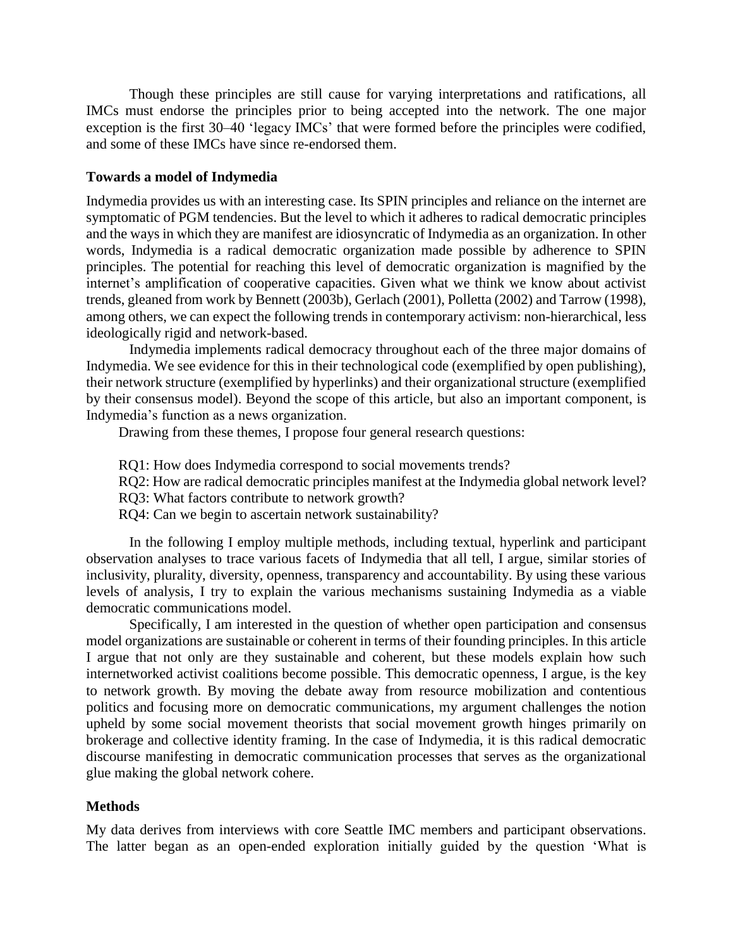Though these principles are still cause for varying interpretations and ratifications, all IMCs must endorse the principles prior to being accepted into the network. The one major exception is the first 30–40 'legacy IMCs' that were formed before the principles were codified, and some of these IMCs have since re-endorsed them.

## **Towards a model of Indymedia**

Indymedia provides us with an interesting case. Its SPIN principles and reliance on the internet are symptomatic of PGM tendencies. But the level to which it adheres to radical democratic principles and the ways in which they are manifest are idiosyncratic of Indymedia as an organization. In other words, Indymedia is a radical democratic organization made possible by adherence to SPIN principles. The potential for reaching this level of democratic organization is magnified by the internet's amplification of cooperative capacities. Given what we think we know about activist trends, gleaned from work by Bennett (2003b), Gerlach (2001), Polletta (2002) and Tarrow (1998), among others, we can expect the following trends in contemporary activism: non-hierarchical, less ideologically rigid and network-based.

Indymedia implements radical democracy throughout each of the three major domains of Indymedia. We see evidence for this in their technological code (exemplified by open publishing), their network structure (exemplified by hyperlinks) and their organizational structure (exemplified by their consensus model). Beyond the scope of this article, but also an important component, is Indymedia's function as a news organization.

Drawing from these themes, I propose four general research questions:

- RQ1: How does Indymedia correspond to social movements trends?
- RQ2: How are radical democratic principles manifest at the Indymedia global network level?
- RQ3: What factors contribute to network growth?
- RQ4: Can we begin to ascertain network sustainability?

In the following I employ multiple methods, including textual, hyperlink and participant observation analyses to trace various facets of Indymedia that all tell, I argue, similar stories of inclusivity, plurality, diversity, openness, transparency and accountability. By using these various levels of analysis, I try to explain the various mechanisms sustaining Indymedia as a viable democratic communications model.

Specifically, I am interested in the question of whether open participation and consensus model organizations are sustainable or coherent in terms of their founding principles. In this article I argue that not only are they sustainable and coherent, but these models explain how such internetworked activist coalitions become possible. This democratic openness, I argue, is the key to network growth. By moving the debate away from resource mobilization and contentious politics and focusing more on democratic communications, my argument challenges the notion upheld by some social movement theorists that social movement growth hinges primarily on brokerage and collective identity framing. In the case of Indymedia, it is this radical democratic discourse manifesting in democratic communication processes that serves as the organizational glue making the global network cohere.

## **Methods**

My data derives from interviews with core Seattle IMC members and participant observations. The latter began as an open-ended exploration initially guided by the question 'What is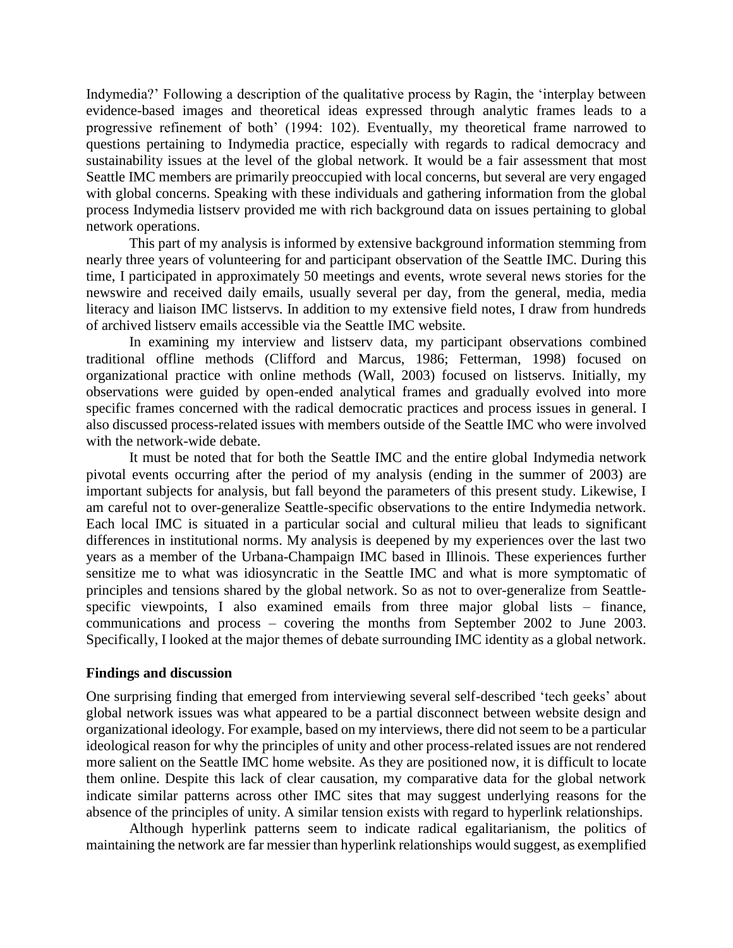Indymedia?' Following a description of the qualitative process by Ragin, the 'interplay between evidence-based images and theoretical ideas expressed through analytic frames leads to a progressive refinement of both' (1994: 102). Eventually, my theoretical frame narrowed to questions pertaining to Indymedia practice, especially with regards to radical democracy and sustainability issues at the level of the global network. It would be a fair assessment that most Seattle IMC members are primarily preoccupied with local concerns, but several are very engaged with global concerns. Speaking with these individuals and gathering information from the global process Indymedia listserv provided me with rich background data on issues pertaining to global network operations.

This part of my analysis is informed by extensive background information stemming from nearly three years of volunteering for and participant observation of the Seattle IMC. During this time, I participated in approximately 50 meetings and events, wrote several news stories for the newswire and received daily emails, usually several per day, from the general, media, media literacy and liaison IMC listservs. In addition to my extensive field notes, I draw from hundreds of archived listserv emails accessible via the Seattle IMC website.

In examining my interview and listserv data, my participant observations combined traditional offline methods (Clifford and Marcus, 1986; Fetterman, 1998) focused on organizational practice with online methods (Wall, 2003) focused on listservs. Initially, my observations were guided by open-ended analytical frames and gradually evolved into more specific frames concerned with the radical democratic practices and process issues in general. I also discussed process-related issues with members outside of the Seattle IMC who were involved with the network-wide debate.

It must be noted that for both the Seattle IMC and the entire global Indymedia network pivotal events occurring after the period of my analysis (ending in the summer of 2003) are important subjects for analysis, but fall beyond the parameters of this present study. Likewise, I am careful not to over-generalize Seattle-specific observations to the entire Indymedia network. Each local IMC is situated in a particular social and cultural milieu that leads to significant differences in institutional norms. My analysis is deepened by my experiences over the last two years as a member of the Urbana-Champaign IMC based in Illinois. These experiences further sensitize me to what was idiosyncratic in the Seattle IMC and what is more symptomatic of principles and tensions shared by the global network. So as not to over-generalize from Seattlespecific viewpoints, I also examined emails from three major global lists – finance, communications and process – covering the months from September 2002 to June 2003. Specifically, I looked at the major themes of debate surrounding IMC identity as a global network.

## **Findings and discussion**

One surprising finding that emerged from interviewing several self-described 'tech geeks' about global network issues was what appeared to be a partial disconnect between website design and organizational ideology. For example, based on my interviews, there did not seem to be a particular ideological reason for why the principles of unity and other process-related issues are not rendered more salient on the Seattle IMC home website. As they are positioned now, it is difficult to locate them online. Despite this lack of clear causation, my comparative data for the global network indicate similar patterns across other IMC sites that may suggest underlying reasons for the absence of the principles of unity. A similar tension exists with regard to hyperlink relationships.

Although hyperlink patterns seem to indicate radical egalitarianism, the politics of maintaining the network are far messier than hyperlink relationships would suggest, as exemplified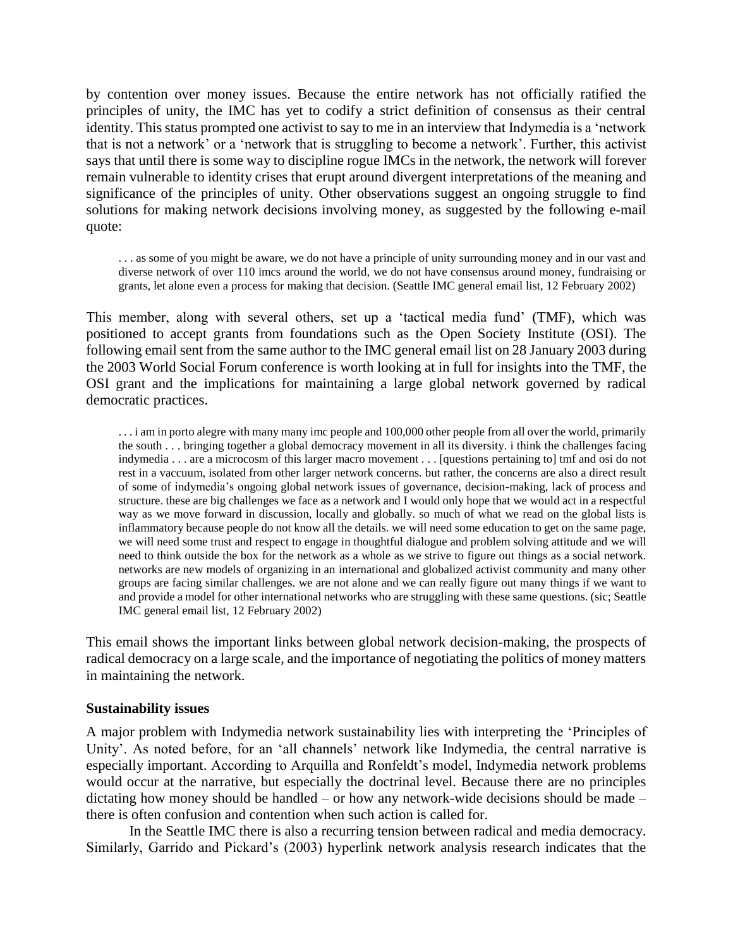by contention over money issues. Because the entire network has not officially ratified the principles of unity, the IMC has yet to codify a strict definition of consensus as their central identity. This status prompted one activist to say to me in an interview that Indymedia is a 'network that is not a network' or a 'network that is struggling to become a network'. Further, this activist says that until there is some way to discipline rogue IMCs in the network, the network will forever remain vulnerable to identity crises that erupt around divergent interpretations of the meaning and significance of the principles of unity. Other observations suggest an ongoing struggle to find solutions for making network decisions involving money, as suggested by the following e-mail quote:

. . . as some of you might be aware, we do not have a principle of unity surrounding money and in our vast and diverse network of over 110 imcs around the world, we do not have consensus around money, fundraising or grants, let alone even a process for making that decision. (Seattle IMC general email list, 12 February 2002)

This member, along with several others, set up a 'tactical media fund' (TMF), which was positioned to accept grants from foundations such as the Open Society Institute (OSI). The following email sent from the same author to the IMC general email list on 28 January 2003 during the 2003 World Social Forum conference is worth looking at in full for insights into the TMF, the OSI grant and the implications for maintaining a large global network governed by radical democratic practices.

. . . i am in porto alegre with many many imc people and 100,000 other people from all over the world, primarily the south . . . bringing together a global democracy movement in all its diversity. i think the challenges facing indymedia . . . are a microcosm of this larger macro movement . . . [questions pertaining to] tmf and osi do not rest in a vaccuum, isolated from other larger network concerns. but rather, the concerns are also a direct result of some of indymedia's ongoing global network issues of governance, decision-making, lack of process and structure. these are big challenges we face as a network and I would only hope that we would act in a respectful way as we move forward in discussion, locally and globally. so much of what we read on the global lists is inflammatory because people do not know all the details. we will need some education to get on the same page, we will need some trust and respect to engage in thoughtful dialogue and problem solving attitude and we will need to think outside the box for the network as a whole as we strive to figure out things as a social network. networks are new models of organizing in an international and globalized activist community and many other groups are facing similar challenges. we are not alone and we can really figure out many things if we want to and provide a model for other international networks who are struggling with these same questions. (sic; Seattle IMC general email list, 12 February 2002)

This email shows the important links between global network decision-making, the prospects of radical democracy on a large scale, and the importance of negotiating the politics of money matters in maintaining the network.

#### **Sustainability issues**

A major problem with Indymedia network sustainability lies with interpreting the 'Principles of Unity'. As noted before, for an 'all channels' network like Indymedia, the central narrative is especially important. According to Arquilla and Ronfeldt's model, Indymedia network problems would occur at the narrative, but especially the doctrinal level. Because there are no principles dictating how money should be handled – or how any network-wide decisions should be made – there is often confusion and contention when such action is called for.

In the Seattle IMC there is also a recurring tension between radical and media democracy. Similarly, Garrido and Pickard's (2003) hyperlink network analysis research indicates that the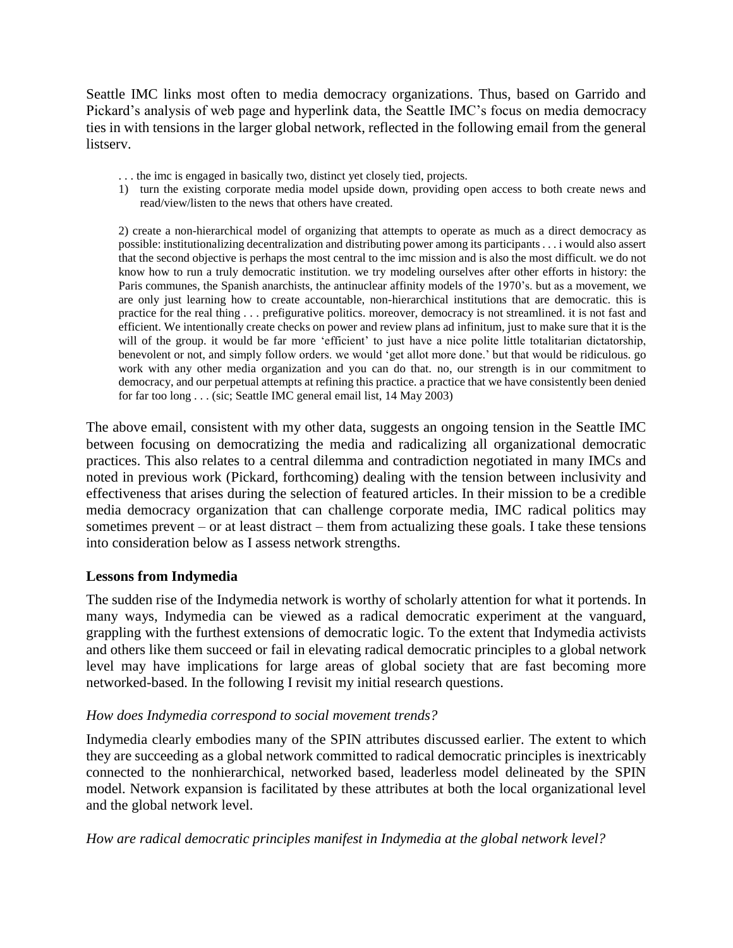Seattle IMC links most often to media democracy organizations. Thus, based on Garrido and Pickard's analysis of web page and hyperlink data, the Seattle IMC's focus on media democracy ties in with tensions in the larger global network, reflected in the following email from the general listserv.

- . . . the imc is engaged in basically two, distinct yet closely tied, projects.
- 1) turn the existing corporate media model upside down, providing open access to both create news and read/view/listen to the news that others have created.

2) create a non-hierarchical model of organizing that attempts to operate as much as a direct democracy as possible: institutionalizing decentralization and distributing power among its participants . . . i would also assert that the second objective is perhaps the most central to the imc mission and is also the most difficult. we do not know how to run a truly democratic institution. we try modeling ourselves after other efforts in history: the Paris communes, the Spanish anarchists, the antinuclear affinity models of the 1970's. but as a movement, we are only just learning how to create accountable, non-hierarchical institutions that are democratic. this is practice for the real thing . . . prefigurative politics. moreover, democracy is not streamlined. it is not fast and efficient. We intentionally create checks on power and review plans ad infinitum, just to make sure that it is the will of the group. it would be far more 'efficient' to just have a nice polite little totalitarian dictatorship, benevolent or not, and simply follow orders. we would 'get allot more done.' but that would be ridiculous. go work with any other media organization and you can do that. no, our strength is in our commitment to democracy, and our perpetual attempts at refining this practice. a practice that we have consistently been denied for far too long . . . (sic; Seattle IMC general email list, 14 May 2003)

The above email, consistent with my other data, suggests an ongoing tension in the Seattle IMC between focusing on democratizing the media and radicalizing all organizational democratic practices. This also relates to a central dilemma and contradiction negotiated in many IMCs and noted in previous work (Pickard, forthcoming) dealing with the tension between inclusivity and effectiveness that arises during the selection of featured articles. In their mission to be a credible media democracy organization that can challenge corporate media, IMC radical politics may sometimes prevent – or at least distract – them from actualizing these goals. I take these tensions into consideration below as I assess network strengths.

## **Lessons from Indymedia**

The sudden rise of the Indymedia network is worthy of scholarly attention for what it portends. In many ways, Indymedia can be viewed as a radical democratic experiment at the vanguard, grappling with the furthest extensions of democratic logic. To the extent that Indymedia activists and others like them succeed or fail in elevating radical democratic principles to a global network level may have implications for large areas of global society that are fast becoming more networked-based. In the following I revisit my initial research questions.

## *How does Indymedia correspond to social movement trends?*

Indymedia clearly embodies many of the SPIN attributes discussed earlier. The extent to which they are succeeding as a global network committed to radical democratic principles is inextricably connected to the nonhierarchical, networked based, leaderless model delineated by the SPIN model. Network expansion is facilitated by these attributes at both the local organizational level and the global network level.

*How are radical democratic principles manifest in Indymedia at the global network level?*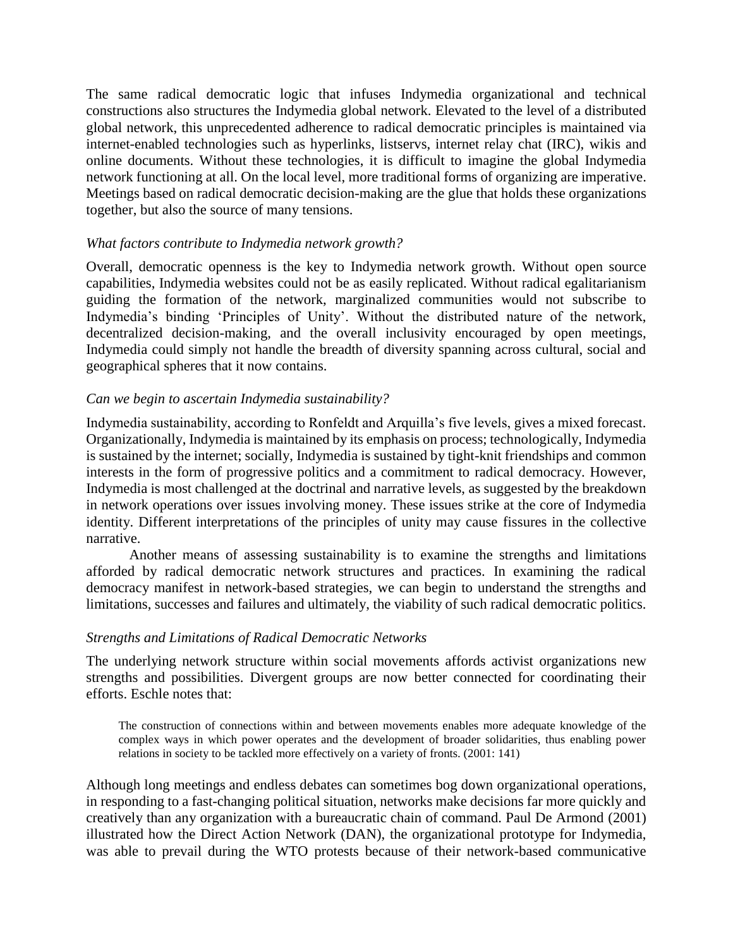The same radical democratic logic that infuses Indymedia organizational and technical constructions also structures the Indymedia global network. Elevated to the level of a distributed global network, this unprecedented adherence to radical democratic principles is maintained via internet-enabled technologies such as hyperlinks, listservs, internet relay chat (IRC), wikis and online documents. Without these technologies, it is difficult to imagine the global Indymedia network functioning at all. On the local level, more traditional forms of organizing are imperative. Meetings based on radical democratic decision-making are the glue that holds these organizations together, but also the source of many tensions.

## *What factors contribute to Indymedia network growth?*

Overall, democratic openness is the key to Indymedia network growth. Without open source capabilities, Indymedia websites could not be as easily replicated. Without radical egalitarianism guiding the formation of the network, marginalized communities would not subscribe to Indymedia's binding 'Principles of Unity'. Without the distributed nature of the network, decentralized decision-making, and the overall inclusivity encouraged by open meetings, Indymedia could simply not handle the breadth of diversity spanning across cultural, social and geographical spheres that it now contains.

## *Can we begin to ascertain Indymedia sustainability?*

Indymedia sustainability, according to Ronfeldt and Arquilla's five levels, gives a mixed forecast. Organizationally, Indymedia is maintained by its emphasis on process; technologically, Indymedia is sustained by the internet; socially, Indymedia is sustained by tight-knit friendships and common interests in the form of progressive politics and a commitment to radical democracy. However, Indymedia is most challenged at the doctrinal and narrative levels, as suggested by the breakdown in network operations over issues involving money. These issues strike at the core of Indymedia identity. Different interpretations of the principles of unity may cause fissures in the collective narrative.

Another means of assessing sustainability is to examine the strengths and limitations afforded by radical democratic network structures and practices. In examining the radical democracy manifest in network-based strategies, we can begin to understand the strengths and limitations, successes and failures and ultimately, the viability of such radical democratic politics.

#### *Strengths and Limitations of Radical Democratic Networks*

The underlying network structure within social movements affords activist organizations new strengths and possibilities. Divergent groups are now better connected for coordinating their efforts. Eschle notes that:

The construction of connections within and between movements enables more adequate knowledge of the complex ways in which power operates and the development of broader solidarities, thus enabling power relations in society to be tackled more effectively on a variety of fronts. (2001: 141)

Although long meetings and endless debates can sometimes bog down organizational operations, in responding to a fast-changing political situation, networks make decisions far more quickly and creatively than any organization with a bureaucratic chain of command. Paul De Armond (2001) illustrated how the Direct Action Network (DAN), the organizational prototype for Indymedia, was able to prevail during the WTO protests because of their network-based communicative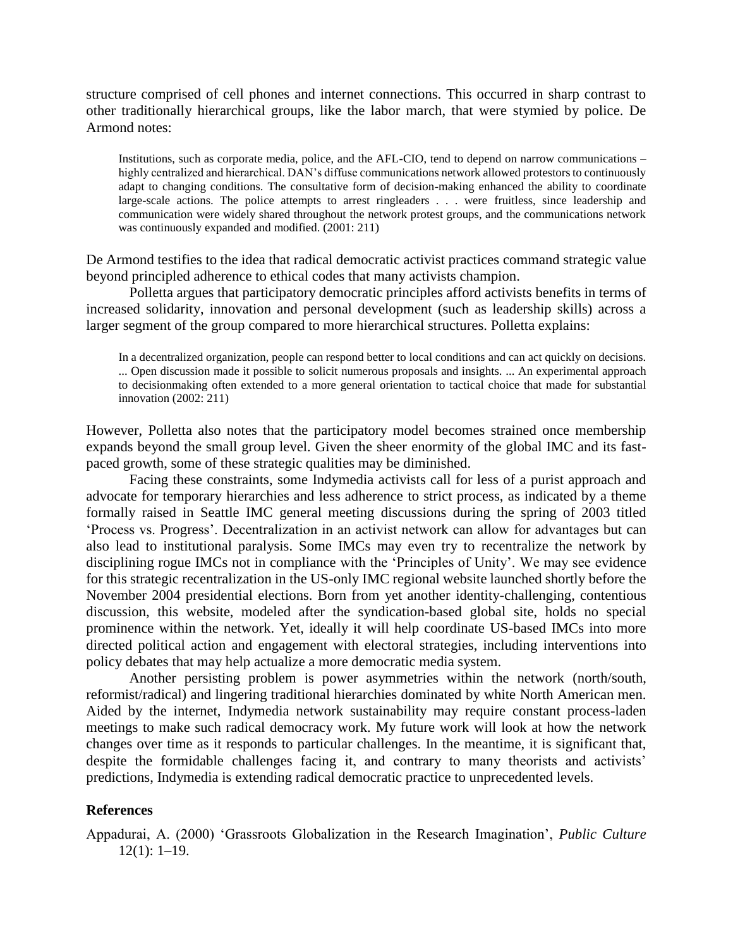structure comprised of cell phones and internet connections. This occurred in sharp contrast to other traditionally hierarchical groups, like the labor march, that were stymied by police. De Armond notes:

Institutions, such as corporate media, police, and the AFL-CIO, tend to depend on narrow communications – highly centralized and hierarchical. DAN's diffuse communications network allowed protestors to continuously adapt to changing conditions. The consultative form of decision-making enhanced the ability to coordinate large-scale actions. The police attempts to arrest ringleaders . . . were fruitless, since leadership and communication were widely shared throughout the network protest groups, and the communications network was continuously expanded and modified. (2001: 211)

De Armond testifies to the idea that radical democratic activist practices command strategic value beyond principled adherence to ethical codes that many activists champion.

Polletta argues that participatory democratic principles afford activists benefits in terms of increased solidarity, innovation and personal development (such as leadership skills) across a larger segment of the group compared to more hierarchical structures. Polletta explains:

In a decentralized organization, people can respond better to local conditions and can act quickly on decisions. ... Open discussion made it possible to solicit numerous proposals and insights. ... An experimental approach to decisionmaking often extended to a more general orientation to tactical choice that made for substantial innovation (2002: 211)

However, Polletta also notes that the participatory model becomes strained once membership expands beyond the small group level. Given the sheer enormity of the global IMC and its fastpaced growth, some of these strategic qualities may be diminished.

Facing these constraints, some Indymedia activists call for less of a purist approach and advocate for temporary hierarchies and less adherence to strict process, as indicated by a theme formally raised in Seattle IMC general meeting discussions during the spring of 2003 titled 'Process vs. Progress'. Decentralization in an activist network can allow for advantages but can also lead to institutional paralysis. Some IMCs may even try to recentralize the network by disciplining rogue IMCs not in compliance with the 'Principles of Unity'. We may see evidence for this strategic recentralization in the US-only IMC regional website launched shortly before the November 2004 presidential elections. Born from yet another identity-challenging, contentious discussion, this website, modeled after the syndication-based global site, holds no special prominence within the network. Yet, ideally it will help coordinate US-based IMCs into more directed political action and engagement with electoral strategies, including interventions into policy debates that may help actualize a more democratic media system.

Another persisting problem is power asymmetries within the network (north/south, reformist/radical) and lingering traditional hierarchies dominated by white North American men. Aided by the internet, Indymedia network sustainability may require constant process-laden meetings to make such radical democracy work. My future work will look at how the network changes over time as it responds to particular challenges. In the meantime, it is significant that, despite the formidable challenges facing it, and contrary to many theorists and activists' predictions, Indymedia is extending radical democratic practice to unprecedented levels.

#### **References**

Appadurai, A. (2000) 'Grassroots Globalization in the Research Imagination', *Public Culture*  12(1): 1–19.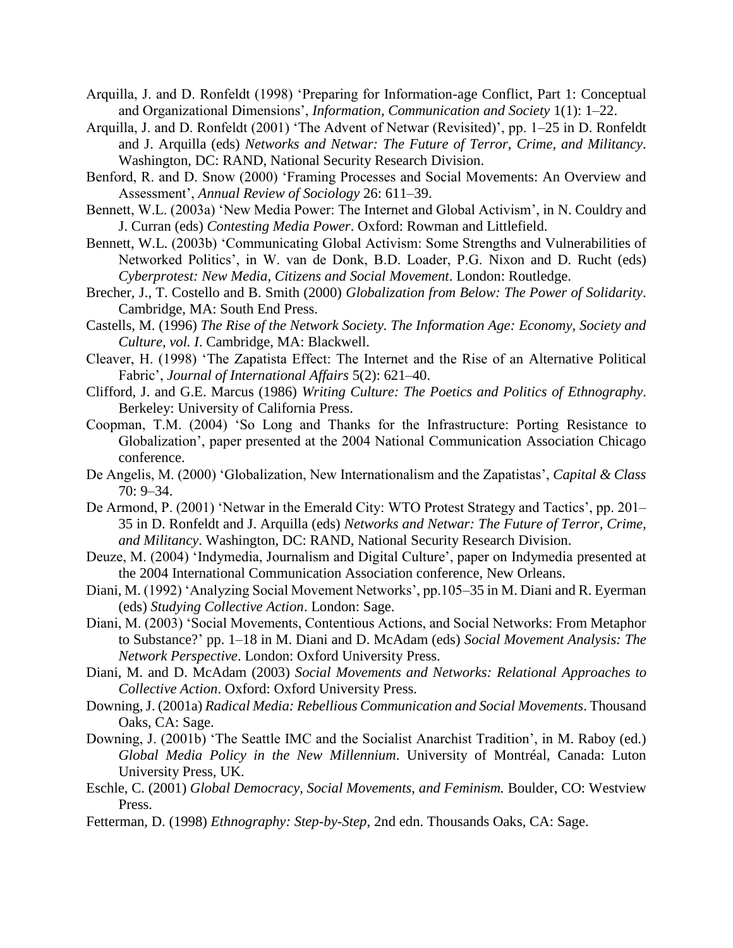- Arquilla, J. and D. Ronfeldt (1998) 'Preparing for Information-age Conflict, Part 1: Conceptual and Organizational Dimensions', *Information, Communication and Society* 1(1): 1–22.
- Arquilla, J. and D. Ronfeldt (2001) 'The Advent of Netwar (Revisited)', pp. 1–25 in D. Ronfeldt and J. Arquilla (eds) *Networks and Netwar: The Future of Terror, Crime, and Militancy*. Washington, DC: RAND, National Security Research Division.
- Benford, R. and D. Snow (2000) 'Framing Processes and Social Movements: An Overview and Assessment', *Annual Review of Sociology* 26: 611–39.
- Bennett, W.L. (2003a) 'New Media Power: The Internet and Global Activism', in N. Couldry and J. Curran (eds) *Contesting Media Power*. Oxford: Rowman and Littlefield.
- Bennett, W.L. (2003b) 'Communicating Global Activism: Some Strengths and Vulnerabilities of Networked Politics', in W. van de Donk, B.D. Loader, P.G. Nixon and D. Rucht (eds) *Cyberprotest: New Media, Citizens and Social Movement*. London: Routledge.
- Brecher, J., T. Costello and B. Smith (2000) *Globalization from Below: The Power of Solidarity*. Cambridge, MA: South End Press.
- Castells, M. (1996) *The Rise of the Network Society. The Information Age: Economy, Society and Culture, vol. I*. Cambridge, MA: Blackwell.
- Cleaver, H. (1998) 'The Zapatista Effect: The Internet and the Rise of an Alternative Political Fabric', *Journal of International Affairs* 5(2): 621–40.
- Clifford, J. and G.E. Marcus (1986) *Writing Culture: The Poetics and Politics of Ethnography*. Berkeley: University of California Press.
- Coopman, T.M. (2004) 'So Long and Thanks for the Infrastructure: Porting Resistance to Globalization', paper presented at the 2004 National Communication Association Chicago conference.
- De Angelis, M. (2000) 'Globalization, New Internationalism and the Zapatistas', *Capital & Class*  70: 9–34.
- De Armond, P. (2001) 'Netwar in the Emerald City: WTO Protest Strategy and Tactics', pp. 201– 35 in D. Ronfeldt and J. Arquilla (eds) *Networks and Netwar: The Future of Terror, Crime, and Militancy*. Washington, DC: RAND, National Security Research Division.
- Deuze, M. (2004) 'Indymedia, Journalism and Digital Culture', paper on Indymedia presented at the 2004 International Communication Association conference, New Orleans.
- Diani, M. (1992) 'Analyzing Social Movement Networks', pp.105–35 in M. Diani and R. Eyerman (eds) *Studying Collective Action*. London: Sage.
- Diani, M. (2003) 'Social Movements, Contentious Actions, and Social Networks: From Metaphor to Substance?' pp. 1–18 in M. Diani and D. McAdam (eds) *Social Movement Analysis: The Network Perspective*. London: Oxford University Press.
- Diani, M. and D. McAdam (2003) *Social Movements and Networks: Relational Approaches to Collective Action*. Oxford: Oxford University Press.
- Downing, J. (2001a) *Radical Media: Rebellious Communication and Social Movements*. Thousand Oaks, CA: Sage.
- Downing, J. (2001b) 'The Seattle IMC and the Socialist Anarchist Tradition', in M. Raboy (ed.) *Global Media Policy in the New Millennium*. University of Montréal, Canada: Luton University Press, UK.
- Eschle, C. (2001) *Global Democracy, Social Movements, and Feminism.* Boulder, CO: Westview Press.
- Fetterman, D. (1998) *Ethnography: Step-by-Step*, 2nd edn. Thousands Oaks, CA: Sage.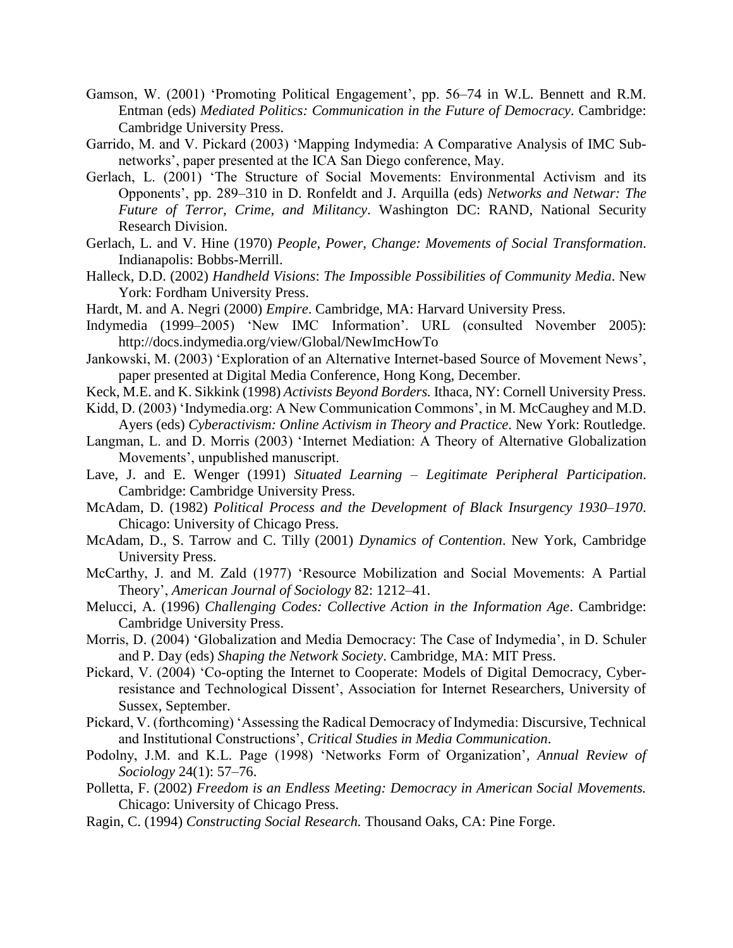- Gamson, W. (2001) 'Promoting Political Engagement', pp. 56–74 in W.L. Bennett and R.M. Entman (eds) *Mediated Politics: Communication in the Future of Democracy*. Cambridge: Cambridge University Press.
- Garrido, M. and V. Pickard (2003) 'Mapping Indymedia: A Comparative Analysis of IMC Subnetworks', paper presented at the ICA San Diego conference, May.
- Gerlach, L. (2001) 'The Structure of Social Movements: Environmental Activism and its Opponents', pp. 289–310 in D. Ronfeldt and J. Arquilla (eds) *Networks and Netwar: The Future of Terror, Crime, and Militancy*. Washington DC: RAND, National Security Research Division.
- Gerlach, L. and V. Hine (1970) *People, Power, Change: Movements of Social Transformation*. Indianapolis: Bobbs-Merrill.
- Halleck, D.D. (2002) *Handheld Visions*: *The Impossible Possibilities of Community Media*. New York: Fordham University Press.
- Hardt, M. and A. Negri (2000) *Empire*. Cambridge, MA: Harvard University Press.
- Indymedia (1999–2005) 'New IMC Information'. URL (consulted November 2005): http://docs.indymedia.org/view/Global/NewImcHowTo
- Jankowski, M. (2003) 'Exploration of an Alternative Internet-based Source of Movement News', paper presented at Digital Media Conference, Hong Kong, December.
- Keck, M.E. and K. Sikkink (1998) *Activists Beyond Borders.* Ithaca, NY: Cornell University Press.
- Kidd, D. (2003) 'Indymedia.org: A New Communication Commons', in M. McCaughey and M.D. Ayers (eds) *Cyberactivism: Online Activism in Theory and Practice*. New York: Routledge.
- Langman, L. and D. Morris (2003) 'Internet Mediation: A Theory of Alternative Globalization Movements', unpublished manuscript.
- Lave, J. and E. Wenger (1991) *Situated Learning – Legitimate Peripheral Participation*. Cambridge: Cambridge University Press.
- McAdam, D. (1982) *Political Process and the Development of Black Insurgency 1930–1970*. Chicago: University of Chicago Press.
- McAdam, D., S. Tarrow and C. Tilly (2001) *Dynamics of Contention*. New York, Cambridge University Press.
- McCarthy, J. and M. Zald (1977) 'Resource Mobilization and Social Movements: A Partial Theory', *American Journal of Sociology* 82: 1212–41.
- Melucci, A. (1996) *Challenging Codes: Collective Action in the Information Age*. Cambridge: Cambridge University Press.
- Morris, D. (2004) 'Globalization and Media Democracy: The Case of Indymedia', in D. Schuler and P. Day (eds) *Shaping the Network Society*. Cambridge, MA: MIT Press.
- Pickard, V. (2004) 'Co-opting the Internet to Cooperate: Models of Digital Democracy, Cyberresistance and Technological Dissent', Association for Internet Researchers, University of Sussex, September.
- Pickard, V. (forthcoming) 'Assessing the Radical Democracy of Indymedia: Discursive, Technical and Institutional Constructions', *Critical Studies in Media Communication*.
- Podolny, J.M. and K.L. Page (1998) 'Networks Form of Organization', *Annual Review of Sociology* 24(1): 57–76.
- Polletta, F. (2002) *Freedom is an Endless Meeting: Democracy in American Social Movements.*  Chicago: University of Chicago Press.
- Ragin, C. (1994) *Constructing Social Research.* Thousand Oaks, CA: Pine Forge.